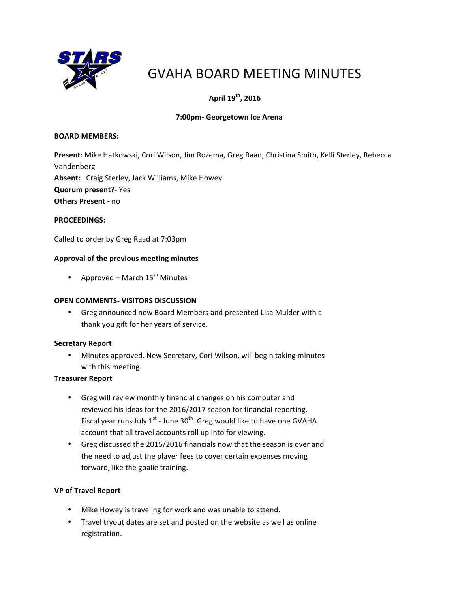

# GVAHA BOARD MEETING MINUTES

## **April 19<sup>th</sup>, 2016**

## **7:00pm- Georgetown Ice Arena**

## **BOARD MEMBERS:**

Present: Mike Hatkowski, Cori Wilson, Jim Rozema, Greg Raad, Christina Smith, Kelli Sterley, Rebecca Vandenberg

Absent: Craig Sterley, Jack Williams, Mike Howey

**Quorum present?**- Yes

**Others Present - no** 

## **PROCEEDINGS:**

Called to order by Greg Raad at 7:03pm

## Approval of the previous meeting minutes

• Approved – March  $15<sup>th</sup>$  Minutes

## **OPEN COMMENTS- VISITORS DISCUSSION**

• Greg announced new Board Members and presented Lisa Mulder with a thank you gift for her years of service.

## **Secretary Report**

• Minutes approved. New Secretary, Cori Wilson, will begin taking minutes with this meeting.

## **Treasurer Report**

- Greg will review monthly financial changes on his computer and reviewed his ideas for the 2016/2017 season for financial reporting. Fiscal year runs July  $1^{st}$  - June  $30^{th}$ . Greg would like to have one GVAHA account that all travel accounts roll up into for viewing.
- Greg discussed the 2015/2016 financials now that the season is over and the need to adjust the player fees to cover certain expenses moving forward, like the goalie training.

## **VP of Travel Report**

- Mike Howey is traveling for work and was unable to attend.
- Travel tryout dates are set and posted on the website as well as online registration.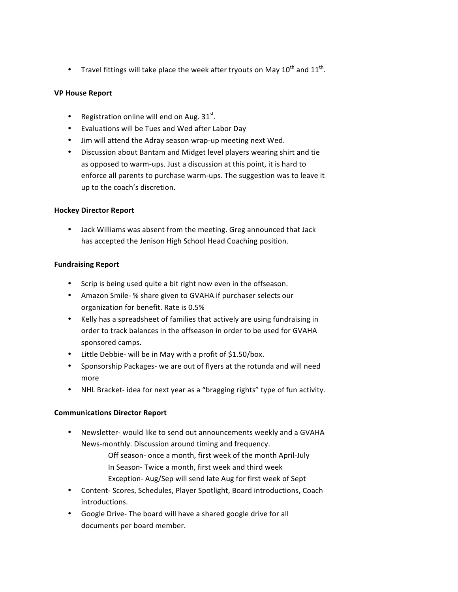• Travel fittings will take place the week after tryouts on May  $10^{\text{th}}$  and  $11^{\text{th}}$ .

## **VP House Report**

- Registration online will end on Aug.  $31^{st}$ .
- Evaluations will be Tues and Wed after Labor Day
- Jim will attend the Adray season wrap-up meeting next Wed.
- Discussion about Bantam and Midget level players wearing shirt and tie as opposed to warm-ups. Just a discussion at this point, it is hard to enforce all parents to purchase warm-ups. The suggestion was to leave it up to the coach's discretion.

#### **Hockey Director Report**

• Jack Williams was absent from the meeting. Greg announced that Jack has accepted the Jenison High School Head Coaching position.

#### **Fundraising Report**

- Scrip is being used quite a bit right now even in the offseason.
- Amazon Smile- % share given to GVAHA if purchaser selects our organization for benefit. Rate is 0.5%
- Kelly has a spreadsheet of families that actively are using fundraising in order to track balances in the offseason in order to be used for GVAHA sponsored camps.
- Little Debbie- will be in May with a profit of  $$1.50/box$ .
- Sponsorship Packages- we are out of flyers at the rotunda and will need more
- NHL Bracket-idea for next year as a "bragging rights" type of fun activity.

## **Communications Director Report**

Newsletter- would like to send out announcements weekly and a GVAHA News-monthly. Discussion around timing and frequency.

> Off season- once a month, first week of the month April-July In Season- Twice a month, first week and third week Exception- Aug/Sep will send late Aug for first week of Sept

- Content- Scores, Schedules, Player Spotlight, Board introductions, Coach introductions.
- Google Drive- The board will have a shared google drive for all documents per board member.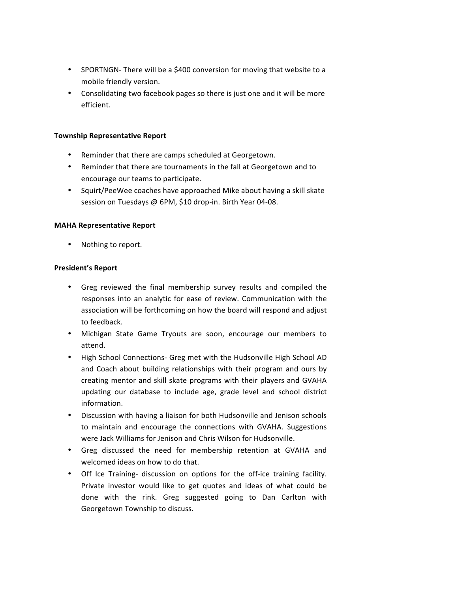- SPORTNGN-There will be a \$400 conversion for moving that website to a mobile friendly version.
- Consolidating two facebook pages so there is just one and it will be more efficient.

#### **Township Representative Report**

- Reminder that there are camps scheduled at Georgetown.
- Reminder that there are tournaments in the fall at Georgetown and to encourage our teams to participate.
- Squirt/PeeWee coaches have approached Mike about having a skill skate session on Tuesdays @ 6PM, \$10 drop-in. Birth Year 04-08.

#### **MAHA Representative Report**

• Nothing to report.

#### **President's Report**

- Greg reviewed the final membership survey results and compiled the responses into an analytic for ease of review. Communication with the association will be forthcoming on how the board will respond and adjust to feedback.
- Michigan State Game Tryouts are soon, encourage our members to attend.
- High School Connections- Greg met with the Hudsonville High School AD and Coach about building relationships with their program and ours by creating mentor and skill skate programs with their players and GVAHA updating our database to include age, grade level and school district information.
- Discussion with having a liaison for both Hudsonville and Jenison schools to maintain and encourage the connections with GVAHA. Suggestions were Jack Williams for Jenison and Chris Wilson for Hudsonville.
- Greg discussed the need for membership retention at GVAHA and welcomed ideas on how to do that.
- Off Ice Training- discussion on options for the off-ice training facility. Private investor would like to get quotes and ideas of what could be done with the rink. Greg suggested going to Dan Carlton with Georgetown Township to discuss.